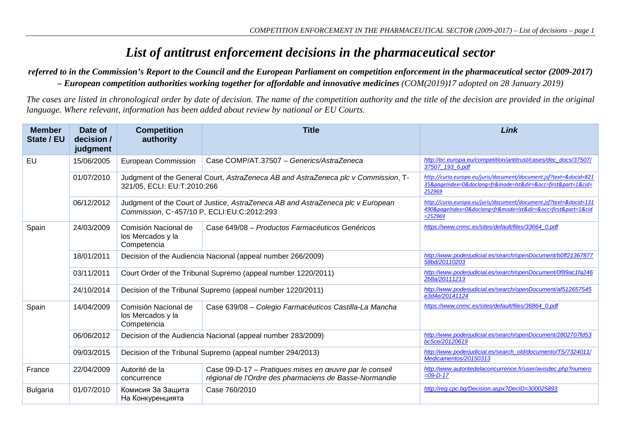## *List of antitrust enforcement decisions in the pharmaceutical sector*

## *referred to in the Commission's Report to the Council and the European Parliament on competition enforcement in the pharmaceutical sector (2009-2017) – European competition authorities working together for affordable and innovative medicines (COM(2019)17 adopted on 28 January 2019)*

*The cases are listed in chronological order by date of decision. The name of the competition authority and the title of the decision are provided in the original language. Where relevant, information has been added about review by national or EU Courts.*

| <b>Member</b><br>State / EU | Date of<br>decision /<br>judgment | <b>Competition</b><br>authority                                                                                               | <b>Title</b>                                                                                                     | Link                                                                                                                                          |
|-----------------------------|-----------------------------------|-------------------------------------------------------------------------------------------------------------------------------|------------------------------------------------------------------------------------------------------------------|-----------------------------------------------------------------------------------------------------------------------------------------------|
| EU                          | 15/06/2005                        | European Commission                                                                                                           | Case COMP/AT 37507 - Generics/AstraZeneca                                                                        | http://ec.europa.eu/competition/antitrust/cases/dec_docs/37507/<br>37507_193_6.pdf                                                            |
|                             | 01/07/2010                        | Judgment of the General Court, AstraZeneca AB and AstraZeneca plc v Commission, T-<br>321/05, ECLI: EU:T:2010:266             |                                                                                                                  | http://curia.europa.eu/juris/document/document.jsf?text=&docid=821<br>35&pageIndex=0&doclang=fr&mode=lst&dir=&occ=first∂=1&cid=<br>252969     |
|                             | 06/12/2012                        | Judgment of the Court of Justice, AstraZeneca AB and AstraZeneca plc v European<br>Commission, C-457/10 P, ECLI:EU:C:2012:293 |                                                                                                                  | http://curia.europa.eu/juris/document/document.jsf?text=&docid=131<br>490&pageIndex=0&doclang=fr&mode=lst&dir=&occ=first∂=1&cid<br>$= 252969$ |
| Spain                       | 24/03/2009                        | Comisión Nacional de<br>los Mercados y la<br>Competencia                                                                      | Case 649/08 - Productos Farmacéuticos Genéricos                                                                  | https://www.cnmc.es/sites/default/files/33664_0.pdf                                                                                           |
|                             | 18/01/2011                        | Decision of the Audiencia Nacional (appeal number 266/2009)                                                                   |                                                                                                                  | http://www.poderjudicial.es/search/openDocument/b0ff21367877<br>58bd/20110203                                                                 |
|                             | 03/11/2011                        | Court Order of the Tribunal Supremo (appeal number 1220/2011)                                                                 |                                                                                                                  | http://www.poderjudicial.es/search/openDocument/0f89ac1fa246<br>2b8a/20111213                                                                 |
|                             | 24/10/2014                        | Decision of the Tribunal Supremo (appeal number 1220/2011)                                                                    |                                                                                                                  | http://www.poderjudicial.es/search/openDocument/af512657545<br>e3d4e/20141124                                                                 |
| Spain                       | 14/04/2009                        | Comisión Nacional de<br>los Mercados y la<br>Competencia                                                                      | Case 639/08 - Colegio Farmacéuticos Castilla-La Mancha                                                           | https://www.cnmc.es/sites/default/files/36864_0.pdf                                                                                           |
|                             | 06/06/2012                        | Decision of the Audiencia Nacional (appeal number 283/2009)                                                                   |                                                                                                                  | http://www.poderjudicial.es/search/openDocument/2802707fd53<br>bc5ce/20120619                                                                 |
|                             | 09/03/2015                        | Decision of the Tribunal Supremo (appeal number 294/2013)                                                                     |                                                                                                                  | http://www.poderjudicial.es/search_old/documento/TS/7324011/<br>Medicamentos/20150313                                                         |
| France                      | 22/04/2009                        | Autorité de la<br>concurrence                                                                                                 | Case 09-D-17 - Pratiques mises en œuvre par le conseil<br>régional de l'Ordre des pharmaciens de Basse-Normandie | http://www.autoritedelaconcurrence.fr/user/avisdec.php?numero<br>$=$ 09-D-17                                                                  |
| <b>Bulgaria</b>             | 01/07/2010                        | Комисия За Защита<br>На Конкуренцията                                                                                         | Case 760/2010                                                                                                    | http://req.cpc.bq/Decision.aspx?DecID=300025893                                                                                               |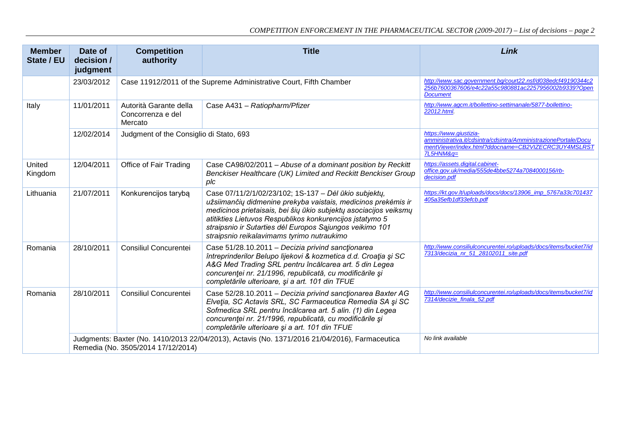| <b>Member</b><br>State / EU | Date of<br>decision /<br>judgment                                                                                                    | <b>Competition</b><br>authority                                    | <b>Title</b>                                                                                                                                                                                                                                                                                                                                                     | Link                                                                                                                                                            |
|-----------------------------|--------------------------------------------------------------------------------------------------------------------------------------|--------------------------------------------------------------------|------------------------------------------------------------------------------------------------------------------------------------------------------------------------------------------------------------------------------------------------------------------------------------------------------------------------------------------------------------------|-----------------------------------------------------------------------------------------------------------------------------------------------------------------|
|                             | 23/03/2012                                                                                                                           | Case 11912/2011 of the Supreme Administrative Court, Fifth Chamber |                                                                                                                                                                                                                                                                                                                                                                  | http://www.sac.government.bg/court22.nsf/d038edcf49190344c2<br>256b7600367606/e4c22a55c980881ac2257956002b9339?Open<br><b>Document</b>                          |
| Italy                       | 11/01/2011                                                                                                                           | Autorità Garante della<br>Concorrenza e del<br>Mercato             | Case A431 - Ratiopharm/Pfizer                                                                                                                                                                                                                                                                                                                                    | http://www.agcm.it/bollettino-settimanale/5877-bollettino-<br>22012.html.                                                                                       |
|                             | 12/02/2014                                                                                                                           | Judgment of the Consiglio di Stato, 693                            |                                                                                                                                                                                                                                                                                                                                                                  | https://www.qiustizia-<br>amministrativa.it/cdsintra/cdsintra/AmministrazionePortale/Docu<br>mentViewer/index.html?ddocname=CB2VIZECRC3UY4MSLRST<br>$7L5HNM&q=$ |
| United<br>Kingdom           | 12/04/2011                                                                                                                           | Office of Fair Trading                                             | Case CA98/02/2011 - Abuse of a dominant position by Reckitt<br>Benckiser Healthcare (UK) Limited and Reckitt Benckiser Group<br>plc                                                                                                                                                                                                                              | https://assets.digital.cabinet-<br>office.gov.uk/media/555de4bbe5274a7084000156/rb-<br>decision.pdf                                                             |
| Lithuania                   | 21/07/2011                                                                                                                           | Konkurencijos tarybą                                               | Case 07/11/2/1/02/23/102; 1S-137 - Dél ūkio subjekty,<br>užsiimančių didmenine prekyba vaistais, medicinos prekėmis ir<br>medicinos prietaisais, bei šių ūkio subjektų asociacijos veiksmų<br>atitikties Lietuvos Respublikos konkurencijos įstatymo 5<br>straipsnio ir Sutarties dėl Europos Sąjungos veikimo 101<br>straipsnio reikalavimams tyrimo nutraukimo | https://kt.gov.lt/uploads/docs/docs/13906_imp_5767a33c701437<br>405a35efb1df33efcb.pdf                                                                          |
| Romania                     | 28/10/2011                                                                                                                           | Consiliul Concurentei                                              | Case 51/28.10.2011 - Decizia privind sanctionarea<br>întreprinderilor Belupo lijekovi & kozmetica d.d. Croația și SC<br>A&G Med Trading SRL pentru încălcarea art. 5 din Legea<br>concurenței nr. 21/1996, republicată, cu modificările și<br>completările ulterioare, și a art. 101 din TFUE                                                                    | http://www.consiliulconcurentei.ro/uploads/docs/items/bucket7/id<br>7313/decizia nr 51 28102011 site.pdf                                                        |
| Romania                     | 28/10/2011                                                                                                                           | <b>Consiliul Concurentei</b>                                       | Case 52/28.10.2011 - Decizia privind sanctionarea Baxter AG<br>Elveția, SC Actavis SRL, SC Farmaceutica Remedia SA și SC<br>Sofmedica SRL pentru încălcarea art. 5 alin. (1) din Legea<br>concurenței nr. 21/1996, republicată, cu modificările și<br>completările ulterioare și a art. 101 din TFUE                                                             | http://www.consiliulconcurentei.ro/uploads/docs/items/bucket7/id<br>7314/decizie_finala_52.pdf                                                                  |
|                             | Judgments: Baxter (No. 1410/2013 22/04/2013), Actavis (No. 1371/2016 21/04/2016), Farmaceutica<br>Remedia (No. 3505/2014 17/12/2014) |                                                                    |                                                                                                                                                                                                                                                                                                                                                                  | No link available                                                                                                                                               |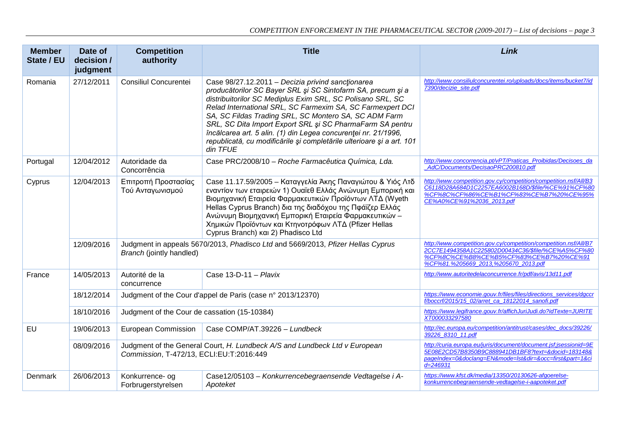| <b>Member</b><br>State / EU | Date of<br>decision /<br>judgment | <b>Competition</b><br>authority                                                                                        | <b>Title</b>                                                                                                                                                                                                                                                                                                                                                                                                                                                                                                              | Link                                                                                                                                                                                                      |
|-----------------------------|-----------------------------------|------------------------------------------------------------------------------------------------------------------------|---------------------------------------------------------------------------------------------------------------------------------------------------------------------------------------------------------------------------------------------------------------------------------------------------------------------------------------------------------------------------------------------------------------------------------------------------------------------------------------------------------------------------|-----------------------------------------------------------------------------------------------------------------------------------------------------------------------------------------------------------|
| Romania                     | 27/12/2011                        | Consiliul Concurentei                                                                                                  | Case 98/27.12.2011 - Decizia privind sanctionarea<br>producătorilor SC Bayer SRL și SC Sintofarm SA, precum și a<br>distribuitorilor SC Mediplus Exim SRL, SC Polisano SRL, SC<br>Relad International SRL, SC Farmexim SA, SC Farmexpert DCI<br>SA, SC Fildas Trading SRL, SC Montero SA, SC ADM Farm<br>SRL, SC Dita Import Export SRL și SC PharmaFarm SA pentru<br>încălcarea art. 5 alin. (1) din Legea concurenței nr. 21/1996,<br>republicată, cu modificările și completările ulterioare și a art. 101<br>din TFUE | http://www.consiliulconcurentei.ro/uploads/docs/items/bucket7/id<br>7390/decizie_site.pdf                                                                                                                 |
| Portugal                    | 12/04/2012                        | Autoridade da<br>Concorrência                                                                                          | Case PRC/2008/10 - Roche Farmacêutica Química, Lda.                                                                                                                                                                                                                                                                                                                                                                                                                                                                       | http://www.concorrencia.pt/vPT/Praticas Proibidas/Decisoes da<br>AdC/Documents/DecisaoPRC200810.pdf                                                                                                       |
| Cyprus                      | 12/04/2013                        | Επιτροπή Προστασίας<br>Τού Ανταγωνισμού                                                                                | Case 11.17.59/2005 - Καταγγελία Άκης Παναγιώτου & Υιός Λτδ<br>εναντίον των εταιρειών 1) Ουαϊεθ Ελλάς Ανώνυμη Εμπορική και<br>Βιομηχανική Εταιρεία Φαρμακευτικών Προϊόντων ΛΤΔ (Wyeth<br>Hellas Cyprus Branch) δια της διαδόχου της Πφάϊζερ Ελλάς<br>Ανώνυμη Βιομηχανική Εμπορική Εταιρεία Φαρμακευτικών -<br>Χημικών Προϊόντων και Κτηνοτρόφων ΛΤΔ (Pfizer Hellas<br>Cyprus Branch) και 2) Phadisco Ltd                                                                                                                   | http://www.competition.gov.cy/competition/competition.nsf/All/B3<br>C6118D28A684D1C2257EA6002B168D/\$file/%CE%91%CF%80<br>%CF%8C%CF%86%CE%B1%CF%83%CE%B7%20%CE%95%<br>CE%A0%CE%91%2036_2013.pdf           |
|                             | 12/09/2016                        | Judgment in appeals 5670/2013, Phadisco Ltd and 5669/2013, Pfizer Hellas Cyprus<br>Branch (jointly handled)            |                                                                                                                                                                                                                                                                                                                                                                                                                                                                                                                           | http://www.competition.gov.cy/competition/competition.nsf/All/B7<br>2CC7E1494358A1C225802D00434C36/\$file/%CE%A5%CF%80<br>%CF%8C%CE%B8%CE%B5%CF%83%CE%B7%20%CE%91<br>%CF%81.%205669 2013,%205670 2013.pdf |
| France                      | 14/05/2013                        | Autorité de la<br>concurrence                                                                                          | Case $13-D-11$ - Plavix                                                                                                                                                                                                                                                                                                                                                                                                                                                                                                   | http://www.autoritedelaconcurrence.fr/pdf/avis/13d11.pdf                                                                                                                                                  |
|                             | 18/12/2014                        | Judgment of the Cour d'appel de Paris (case n° 2013/12370)                                                             |                                                                                                                                                                                                                                                                                                                                                                                                                                                                                                                           | https://www.economie.gouv.fr/files/files/directions_services/dgccr<br>f/boccrf/2015/15_02/arret_ca_18122014_sanofi.pdf                                                                                    |
|                             | 18/10/2016                        | Judgment of the Cour de cassation (15-10384)                                                                           |                                                                                                                                                                                                                                                                                                                                                                                                                                                                                                                           | https://www.legifrance.gouv.fr/affichJuriJudi.do?idTexte=JURITE<br>XT000033297580                                                                                                                         |
| EU                          | 19/06/2013                        | European Commission                                                                                                    | Case COMP/AT.39226 - Lundbeck                                                                                                                                                                                                                                                                                                                                                                                                                                                                                             | http://ec.europa.eu/competition/antitrust/cases/dec_docs/39226/<br>39226 8310 11.pdf                                                                                                                      |
|                             | 08/09/2016                        | Judgment of the General Court, H. Lundbeck A/S and Lundbeck Ltd v European<br>Commission, T-472/13, ECLI:EU:T:2016:449 |                                                                                                                                                                                                                                                                                                                                                                                                                                                                                                                           | http://curia.europa.eu/juris/document/document.jsf;jsessionid=9E<br>5E08E2CD57B8350B9C888941DB1BF8?text=&docid=1831488<br>pageIndex=0&doclang=EN&mode=Ist&dir=&occ=first∂=1&ci<br>$d = 246931$            |
| Denmark                     | 26/06/2013                        | Konkurrence- og<br>Forbrugerstyrelsen                                                                                  | Case12/05103 - Konkurrencebegraensende Vedtagelse i A-<br>Apoteket                                                                                                                                                                                                                                                                                                                                                                                                                                                        | https://www.kfst.dk/media/13350/20130626-afgoerelse-<br>konkurrencebegraensende-vedtagelse-i-aapoteket.pdf                                                                                                |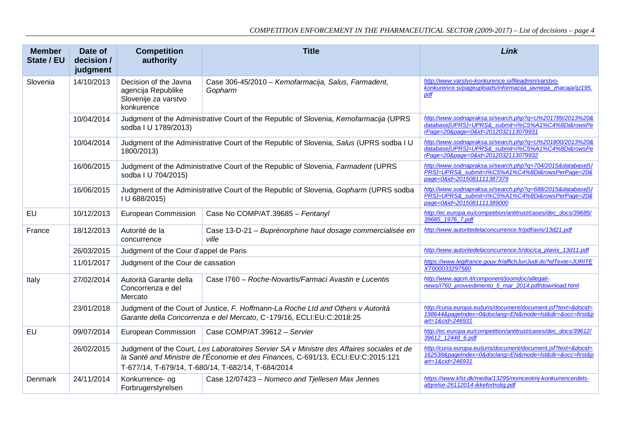| <b>Member</b><br>State / EU | Date of<br>decision /<br>judgment | <b>Competition</b><br>authority                                                                                                                          | <b>Title</b>                                                                                                                                                                                                                         | Link                                                                                                                                                 |
|-----------------------------|-----------------------------------|----------------------------------------------------------------------------------------------------------------------------------------------------------|--------------------------------------------------------------------------------------------------------------------------------------------------------------------------------------------------------------------------------------|------------------------------------------------------------------------------------------------------------------------------------------------------|
| Slovenia                    | 14/10/2013                        | Decision of the Javna<br>agencija Republike<br>Slovenije za varstvo<br>konkurence                                                                        | Case 306-45/2010 - Kemofarmacija, Salus, Farmadent,<br>Gopharm                                                                                                                                                                       | http://www.varstvo-konkurence.si/fileadmin/varstvo-<br>konkurence.si/pageuploads/informacija javnega znacaja/ijz195.<br>pdf                          |
|                             | 10/04/2014                        | sodba I U 1789/2013)                                                                                                                                     | Judgment of the Administrative Court of the Republic of Slovenia, Kemofarmacija (UPRS                                                                                                                                                | http://www.sodnapraksa.si/search.php?q=U%201789/2013%20&<br>database[UPRS]=UPRS&_submit=i%C5%A1%C4%8Di&rowsPe<br>rPage=20&page=0&id=2012032113079931 |
|                             | 10/04/2014                        | 1800/2013)                                                                                                                                               | Judgment of the Administrative Court of the Republic of Slovenia, Salus (UPRS sodba I U                                                                                                                                              | http://www.sodnapraksa.si/search.php?q=U%201800/2013%20&<br>database[UPRS]=UPRS&_submit=i%C5%A1%C4%8Di&rowsPe<br>rPage=20&page=0&id=2012032113079932 |
|                             | 16/06/2015                        | sodba I U 704/2015)                                                                                                                                      | Judgment of the Administrative Court of the Republic of Slovenia, Farmadent (UPRS                                                                                                                                                    | http://www.sodnapraksa.si/search.php?q=704/2015&database[U<br>PRS]=UPRS&_submit=i%C5%A1%C4%8Di&rowsPerPage=208<br>page=0&id=2015081111387379         |
|                             | 16/06/2015                        | Judgment of the Administrative Court of the Republic of Slovenia, Gopharm (UPRS sodba<br>I U 688/2015)                                                   |                                                                                                                                                                                                                                      | http://www.sodnapraksa.si/search.php?q=688/2015&database[U<br>PRS]=UPRS&_submit=i%C5%A1%C4%8Di&rowsPerPage=208<br>page=0&id=2015081111389000         |
| EU                          | 10/12/2013                        | European Commission                                                                                                                                      | Case No COMP/AT.39685 - Fentanyl                                                                                                                                                                                                     | http://ec.europa.eu/competition/antitrust/cases/dec_docs/39685/<br>39685_1976_7.pdf                                                                  |
| France                      | 18/12/2013                        | Autorité de la<br>concurrence                                                                                                                            | Case 13-D-21 - Buprénorphine haut dosage commercialisée en<br>ville                                                                                                                                                                  | http://www.autoritedelaconcurrence.fr/pdf/avis/13d21.pdf                                                                                             |
|                             | 26/03/2015                        | Judgment of the Cour d'appel de Paris                                                                                                                    |                                                                                                                                                                                                                                      | http://www.autoritedelaconcurrence.fr/doc/ca plavix 13d11.pdf                                                                                        |
|                             | 11/01/2017                        | Judgment of the Cour de cassation                                                                                                                        |                                                                                                                                                                                                                                      | https://www.legifrance.gouv.fr/affichJuriJudi.do?idTexte=JURITE<br>XT000033297580                                                                    |
| Italy                       | 27/02/2014                        | Autorità Garante della<br>Concorrenza e del<br>Mercato                                                                                                   | Case I760 - Roche-Novartis/Farmaci Avastin e Lucentis                                                                                                                                                                                | http://www.agcm.it/component/joomdoc/allegati-<br>news/1760_provvedimento_5_mar_2014.pdf/download.html                                               |
|                             | 23/01/2018                        | Judgment of the Court of Justice, F. Hoffmann-La Roche Ltd and Others v Autorità<br>Garante della Concorrenza e del Mercato, C-179/16, ECLI:EU:C:2018:25 |                                                                                                                                                                                                                                      | http://curia.europa.eu/juris/document/document.jsf?text=&docid=<br>198644&pageIndex=0&doclang=EN&mode=Ist&dir=&occ=first&p<br>art=1&cid=246931       |
| <b>EU</b>                   | 09/07/2014                        | European Commission                                                                                                                                      | Case COMP/AT.39612 - Servier                                                                                                                                                                                                         | http://ec.europa.eu/competition/antitrust/cases/dec_docs/39612/<br>39612 12448 6.pdf                                                                 |
|                             | 26/02/2015                        |                                                                                                                                                          | Judgment of the Court, Les Laboratoires Servier SA v Ministre des Affaires sociales et de<br>la Santé and Ministre de l'Économie et des Finances, C-691/13, ECLI:EU:C:2015:121<br>T-677/14, T-679/14, T-680/14, T-682/14, T-684/2014 | http://curia.europa.eu/juris/document/document.jsf?text=&docid=<br>162538&pageIndex=0&doclang=EN&mode=Ist&dir=&occ=first&p<br>art=1&cid=246931       |
| Denmark                     | 24/11/2014                        | Konkurrence- og<br>Forbrugerstyrelsen                                                                                                                    | Case 12/07423 - Nomeco and Tjellesen Max Jennes                                                                                                                                                                                      | https://www.kfst.dk/media/13295/nomceotmj-konkurrencerdets-<br>afgrelse-26112014-ikkefortrolig.pdf                                                   |